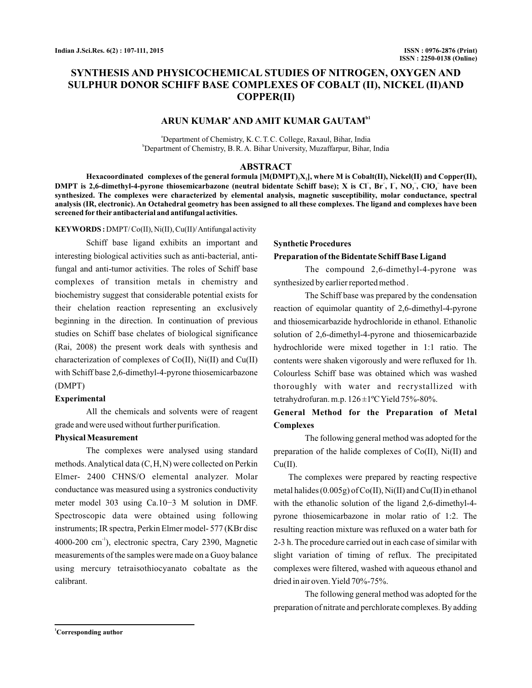# **SYNTHESIS AND PHYSICOCHEMICAL STUDIES OF NITROGEN, OXYGEN AND SULPHUR DONOR SCHIFF BASE COMPLEXES OF COBALT (II), NICKEL (II)AND COPPER(II)**

## $ARUN KUMAR<sup>a</sup> AND AMIT KUMAR GAMITAN<sup>b1</sup>$

a Department of Chemistry, K.C. T.C. College, Raxaul, Bihar, India b Department of Chemistry, B.R. A. Bihar University, Muzaffarpur, Bihar, India

#### **ABSTRACT**

Hexacoordinated  $\;$  complexes of the general formula  $[\mathrm{M}(\mathrm{DMPT})_2 \mathrm{X}_2],$  where M is  $\;$  Cobalt(II), Nickel(II) and  $\;$  Copper(II), **DMPT** is 2,6-dimethyl-4-pyrone thiosemicarbazone (neutral bidentate Schiff base); X is Cl<sup>-</sup>, Br<sup>-</sup>, I<sup>-</sup>, NO<sub>2</sub><sup>-</sup>, ClO<sub>4</sub><sup>-</sup> have been **synthesized. The complexes were characterized by elemental analysis, magnetic susceptibility, molar conductance, spectral analysis (IR, electronic). An Octahedral geometry has been assigned to all these complexes. The ligand and complexes have been screened for their antibacterial and antifungal activities.**

#### **KEYWORDS :** DMPT/ Co(II), Ni(II), Cu(II)/Antifungal activity

Schiff base ligand exhibits an important and interesting biological activities such as anti-bacterial, antifungal and anti-tumor activities. The roles of Schiff base complexes of transition metals in chemistry and biochemistry suggest that considerable potential exists for their chelation reaction representing an exclusively beginning in the direction. In continuation of previous studies on Schiff base chelates of biological significance (Rai, 2008) the present work deals with synthesis and characterization of complexes of Co(II), Ni(II) and Cu(II) with Schiff base 2,6-dimethyl-4-pyrone thiosemicarbazone (DMPT)

#### **Experimental**

All the chemicals and solvents were of reagent grade and were used without further purification.

#### **Physical Measurement**

The complexes were analysed using standard methods. Analytical data (C,H,N) were collected on Perkin Elmer- 2400 CHNS/O elemental analyzer. Molar conductance was measured using a systronics conductivity meter model 303 using Ca.10−3 M solution in DMF. Spectroscopic data were obtained using following instruments; IR spectra, Perkin Elmer model- 577 (KBr disc 4000-200 cm<sup>-1</sup>), electronic spectra, Cary 2390, Magnetic measurements of the samples were made on a Guoy balance using mercury tetraisothiocyanato cobaltate as the calibrant.

## **Synthetic Procedures**

#### **Preparation of the Bidentate Schiff Base Ligand**

The compound 2,6-dimethyl-4-pyrone was synthesized by earlier reported method .

The Schiff base was prepared by the condensation reaction of equimolar quantity of 2,6-dimethyl-4-pyrone and thiosemicarbazide hydrochloride in ethanol. Ethanolic solution of 2,6-dimethyl-4-pyrone and thiosemicarbazide hydrochloride were mixed together in 1:1 ratio. The contents were shaken vigorously and were refluxed for 1h. Colourless Schiff base was obtained which was washed thoroughly with water and recrystallized with tetrahydrofuran. m.p. 126 ±1ºCYield 75%-80%.

## **General Method for the Preparation of Metal Complexes**

The following general method was adopted for the preparation of the halide complexes of Co(II), Ni(II) and  $Cu(II).$ 

The complexes were prepared by reacting respective metal halides (0.005g) of Co(II), Ni(II) and Cu(II) in ethanol with the ethanolic solution of the ligand 2,6-dimethyl-4 pyrone thiosemicarbazone in molar ratio of 1:2. The resulting reaction mixture was refluxed on a water bath for 2-3 h. The procedure carried out in each case of similar with slight variation of timing of reflux. The precipitated complexes were filtered, washed with aqueous ethanol and dried in air oven.Yield 70%-75%.

The following general method was adopted for the preparation of nitrate and perchlorate complexes. By adding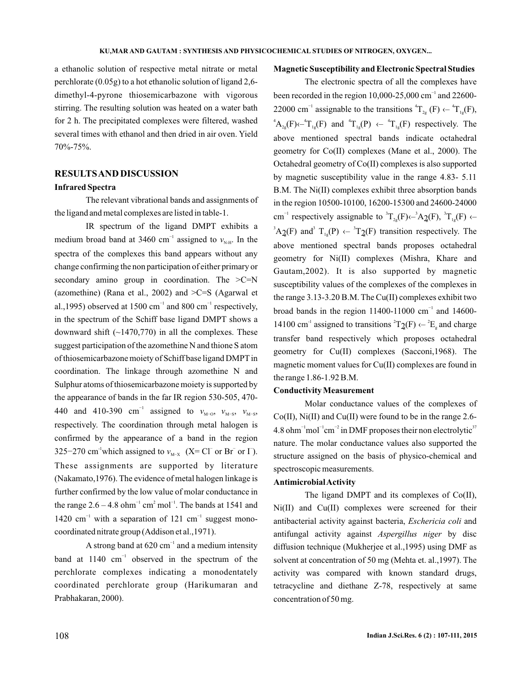a ethanolic solution of respective metal nitrate or metal perchlorate (0.05g) to a hot ethanolic solution of ligand 2,6 dimethyl-4-pyrone thiosemicarbazone with vigorous stirring. The resulting solution was heated on a water bath for 2 h. The precipitated complexes were filtered, washed several times with ethanol and then dried in air oven. Yield 70%-75%.

## **RESULTSAND DISCUSSION**

#### **Infrared Spectra**

The relevant vibrational bands and assignments of the ligand and metal complexes are listed in table-1.

IR spectrum of the ligand DMPT exhibits a medium broad band at 3460 cm<sup>-1</sup> assigned to  $v_{N,H}$ . In the spectra of the complexes this band appears without any change confirming the non participation of either primary or secondary amino group in coordination. The  $>C=N$ (azomethine) (Rana et al., 2002) and  $\geq$ C=S (Agarwal et al.,1995) observed at 1500 cm<sup>-1</sup> and 800 cm<sup>-1</sup> respectively, in the spectrum of the Schiff base ligand DMPT shows a downward shift  $(\sim 1470,770)$  in all the complexes. These suggest participation of the azomethine N and thione S atom of thiosemicarbazone moiety of Schiff base ligand DMPT in coordination. The linkage through azomethine N and Sulphur atoms of thiosemicarbazone moiety is supported by the appearance of bands in the far IR region 530-505, 470- 440 and 410-390 cm<sup>-1</sup> assigned to  $v_{M-O}$ ,  $v_{M-S}$ ,  $v_{M-S}$ , 325–270 cm<sup>-1</sup>which assigned to  $v_{M-X}$  (X= Cl<sup>-</sup> or Br<sup>-</sup> or I<sup>-</sup>). respectively. The coordination through metal halogen is confirmed by the appearance of a band in the region These assignments are supported by literature (Nakamato,1976). The evidence of metal halogen linkage is further confirmed by the low value of molar conductance in the range  $2.6 - 4.8$  ohm<sup>-1</sup> cm<sup>2</sup> mol<sup>-1</sup>. The bands at 1541 and 1420 cm<sup>-1</sup> with a separation of 121 cm<sup>-1</sup> suggest monocoordinated nitrate group (Addison et al.,1971).

A strong band at  $620 \text{ cm}^{-1}$  and a medium intensity band at  $1140 \text{ cm}^{-1}$  observed in the spectrum of the perchlorate complexes indicating a monodentately coordinated perchlorate group (Harikumaran and Prabhakaran, 2000).

### **Magnetic Susceptibility and Electronic Spectral Studies**

The electronic spectra of all the complexes have been recorded in the region 10,000-25,000 cm<sup>-1</sup> and 22600-22000 cm<sup>-1</sup> assignable to the transitions  ${}^{4}T_{2g}$  (F)  $\leftarrow {}^{4}T_{1g}$ (F),  ${}^4A_{2g}(F) \leftarrow {}^4T_{1g}(F)$  and  ${}^4T_{1g}(P) \leftarrow {}^4T_{1g}(F)$  respectively. The above mentioned spectral bands indicate octahedral geometry for Co(II) complexes (Mane et al., 2000). The Octahedral geometry of Co(II) complexes is also supported by magnetic susceptibility value in the range 4.83- 5.11 B.M. The Ni(II) complexes exhibit three absorption bands in the region 10500-10100, 16200-15300 and 24600-24000 cm<sup>-1</sup> respectively assignable to  ${}^{3}T_{2g}(F) \leftarrow {}^{3}A_{2g}(F), {}^{3}T_{1g}(F) \leftarrow$  ${}^3A_2(F)$  and  $T_{1g}(P) \leftarrow {}^3T_2(F)$  transition respectively. The above mentioned spectral bands proposes octahedral geometry for Ni(II) complexes (Mishra, Khare and Gautam,2002). It is also supported by magnetic susceptibility values of the complexes of the complexes in the range 3.13-3.20 B.M. The Cu(II) complexes exhibit two broad bands in the region 11400-11000  $cm^{-1}$  and 14600-14100 cm<sup>-1</sup> assigned to transitions  ${}^{2}T_{2}(F) \leftarrow {}^{2}E_{g}$  and charge transfer band respectively which proposes octahedral geometry for Cu(II) complexes (Sacconi,1968). The magnetic moment values for Cu(II) complexes are found in the range 1.86-1.92 B.M.  $2(F)$  and  $T_{1g}(P) \leftarrow T_2(F)$  transition<br>ove mentioned spectral bands p<br>ometry for Ni(II) complexes (P<br>autam, 2002). It is also suppo<br>sceptibility values of the complexes<br>example are range 3.13-3.20 B.M. The Cu(II) co<br>oad b

## **Conductivity Measurement**

Molar conductance values of the complexes of Co(II), Ni(II) and Cu(II) were found to be in the range 2.6- 4.8 ohm<sup>-1</sup> mol<sup>-1</sup> cm<sup>-2</sup> in DMF proposes their non electrolytic<sup>37</sup> nature. The molar conductance values also supported the structure assigned on the basis of physico-chemical and spectroscopic measurements.

#### **AntimicrobialActivity**

The ligand DMPT and its complexes of Co(II), Ni(II) and Cu(II) complexes were screened for their antibacterial activity against bacteria, Eschericia coli and antifungal activity against Aspergillus niger by disc diffusion technique (Mukherjee et al.,1995) using DMF as solvent at concentration of 50 mg (Mehta et. al.,1997). The activity was compared with known standard drugs, tetracycline and diethane Z-78, respectively at same concentration of 50 mg.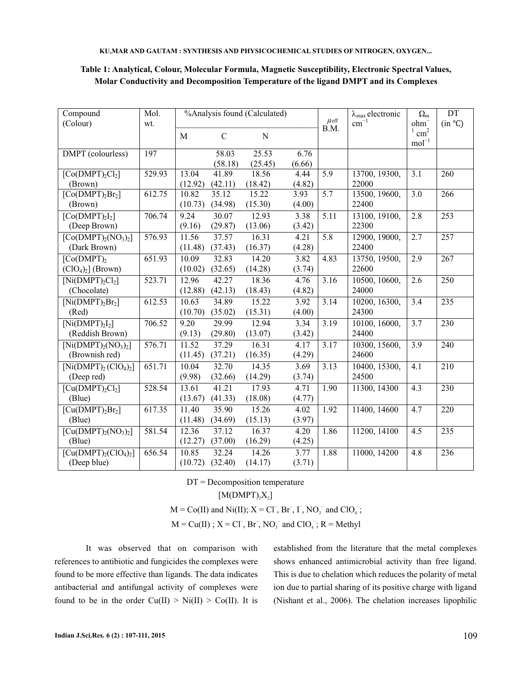| Compound                                         | Mol.   | %Analysis found (Calculated) |               |             |        | $\mu$ eff         | $\lambda_{\text{max}}$ electronic | $\Omega_{\rm m}$         | DT               |
|--------------------------------------------------|--------|------------------------------|---------------|-------------|--------|-------------------|-----------------------------------|--------------------------|------------------|
| (Colour)                                         | wt.    |                              |               |             |        | B.M.              | $\rm cm^{-1}$                     | $ohm^-$<br>$\text{cm}^2$ | (in °C)          |
|                                                  |        | M                            | $\mathcal{C}$ | $\mathbf N$ |        |                   |                                   | $\mathrm{mol}^{-1}$      |                  |
| DMPT (colourless)                                | 197    |                              | 58.03         | 25.53       | 6.76   |                   |                                   |                          |                  |
|                                                  |        |                              | (58.18)       | (25.45)     | (6.66) |                   |                                   |                          |                  |
| $[Co(DMPT)_{2}Cl_{2}]$                           | 529.93 | 13.04                        | 41.89         | 18.56       | 4.44   | $\overline{5.9}$  | 13700, 19300,                     | $\overline{3.1}$         | $\overline{260}$ |
| (Brown)                                          |        | (12.92)                      | (42.11)       | (18.42)     | (4.82) |                   | 22000                             |                          |                  |
| [Co(DMPT) <sub>2</sub> Br <sub>2</sub> ]         | 612.75 | 10.82                        | 35.12         | 15.22       | 3.93   | 5.7               | 13500, 19600,                     | $\overline{3.0}$         | 266              |
| (Brown)                                          |        | (10.73)                      | (34.98)       | (15.30)     | (4.00) |                   | 22400                             |                          |                  |
| [Co(DMPT) <sub>2</sub> I <sub>2</sub> ]          | 706.74 | 9.24                         | 30.07         | 12.93       | 3.38   | $\overline{5.11}$ | 13100, 19100,                     | 2.8                      | 253              |
| (Deep Brown)                                     |        | (9.16)                       | (29.87)       | (13.06)     | (3.42) |                   | 22300                             |                          |                  |
| $[Co(DMPT)2(NO3)2]$                              | 576.93 | 11.56                        | 37.57         | 16.31       | 4.21   | $\overline{5.8}$  | 12900, 19000,                     | 2.7                      | 257              |
| (Dark Brown)                                     |        | (11.48)                      | (37.43)       | (16.37)     | (4.28) |                   | 22400                             |                          |                  |
| $\overline{[Co(DMPT)]}$                          | 651.93 | 10.09                        | 32.83         | 14.20       | 3.82   | 4.83              | 13750, 19500,                     | 2.9                      | 267              |
| $(ClO4)2]$ (Brown)                               |        | (10.02)                      | (32.65)       | (14.28)     | (3.74) |                   | 22600                             |                          |                  |
| $[Ni(DMPT),Cl_2]$                                | 523.71 | 12.96                        | 42.27         | 18.36       | 4.76   | $\overline{3.16}$ | 10500, 10600,                     | 2.6                      | 250              |
| (Chocolate)                                      |        | (12.88)                      | (42.13)       | (18.43)     | (4.82) |                   | 24000                             |                          |                  |
| $\overline{[Ni(DMPT)_{2}Br_{2}]}$                | 612.53 | 10.63                        | 34.89         | 15.22       | 3.92   | 3.14              | 10200, 16300,                     | 3.4                      | 235              |
| (Red)                                            |        | (10.70)                      | (35.02)       | (15.31)     | (4.00) |                   | 24300                             |                          |                  |
| [Ni(DMPT) <sub>2</sub> I <sub>2</sub> ]          | 706.52 | 9.20                         | 29.99         | 12.94       | 3.34   | 3.19              | 10100, 16000,                     | $\overline{3.7}$         | $\overline{230}$ |
| (Reddish Brown)                                  |        | (9.13)                       | (29.80)       | (13.07)     | (3.42) |                   | 24400                             |                          |                  |
| $\overline{[Ni(DMPT)_{2}(NO_{3})_{2}}]$          | 576.71 | 11.52                        | 37.29         | 16.31       | 4.17   | $\overline{3.17}$ | 10300, 15600,                     | $\overline{3.9}$         | 240              |
| (Brownish red)                                   |        | (11.45)                      | (37.21)       | (16.35)     | (4.29) |                   | 24600                             |                          |                  |
| $\overline{\text{[Ni(DMPT)}_2(\text{ClO}_4)_2]}$ | 651.71 | 10.04                        | 32.70         | 14.35       | 3.69   | 3.13              | 10400, 15300,                     | 4.1                      | $\overline{210}$ |
| (Deep red)                                       |        | (9.98)                       | (32.66)       | (14.29)     | (3.74) |                   | 24500                             |                          |                  |
| [Cu(DMPT) <sub>2</sub> Cl <sub>2</sub> ]         | 528.54 | 13.61                        | 41.21         | 17.93       | 4.71   | 1.90              | 11300, 14300                      | 4.3                      | 230              |
| (Blue)                                           |        | (13.67)                      | (41.33)       | (18.08)     | (4.77) |                   |                                   |                          |                  |
| $\overline{[Cu(DMPT)_{2}Br_{2}]}$                | 617.35 | 11.40                        | 35.90         | 15.26       | 4.02   | 1.92              | 11400, 14600                      | 4.7                      | 220              |
| (Blue)                                           |        | (11.48)                      | (34.69)       | (15.13)     | (3.97) |                   |                                   |                          |                  |
| $[Cu(DMPT)2(NO3)2]$                              | 581.54 | 12.36                        | 37.12         | 16.37       | 4.20   | 1.86              | 11200, 14100                      | 4.5                      | 235              |
| (Blue)                                           |        | (12.27)                      | (37.00)       | (16.29)     | (4.25) |                   |                                   |                          |                  |
| $[Cu(DMPT)2(ClO4)2]$                             | 656.54 | 10.85                        | 32.24         | 14.26       | 3.77   | 1.88              | 11000, 14200                      | $\overline{4.8}$         | 236              |
| (Deep blue)                                      |        | (10.72)                      | (32.40)       | (14.17)     | (3.71) |                   |                                   |                          |                  |

## **Table 1: Analytical, Colour, Molecular Formula, Magnetic Susceptibility, Electronic Spectral Values, Molar Conductivity and Decomposition Temperature of the ligand DMPT and its Complexes**

DT = Decomposition temperature

 $[M(DMPT)_{2}X_{2}]$ 

 $M = Co(II)$  and Ni(II);  $X = CI^{-}$ , Br<sup>-</sup>, I<sup>-</sup>, NO<sub>3</sub><sup>-</sup> and ClO<sub>4</sub><sup>-</sup>;

 $M = Cu(II)$ ;  $X = CI^{-}$ ,  $Br^{-}$ ,  $NO_3^{-}$  and  $ClO_4^{-}$ ;  $R = Methyl$ 

It was observed that on comparison with references to antibiotic and fungicides the complexes were found to be more effective than ligands. The data indicates antibacterial and antifungal activity of complexes were found to be in the order  $Cu(II) > Ni(II) > Co(II)$ . It is established from the literature that the metal complexes shows enhanced antimicrobial activity than free ligand. This is due to chelation which reduces the polarity of metal ion due to partial sharing of its positive charge with ligand (Nishant et al., 2006). The chelation increases lipophilic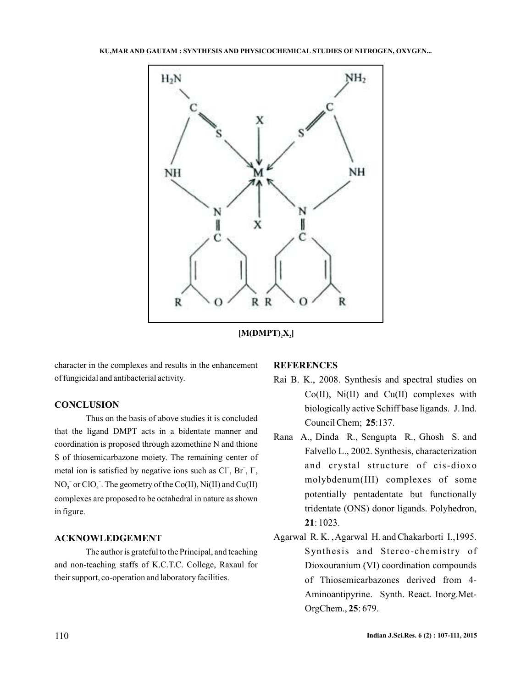

 $[M(DMPT), X_2]$ 

character in the complexes and results in the enhancement of fungicidal and antibacterial activity.

### **CONCLUSION**

Thus on the basis of above studies it is concluded that the ligand DMPT acts in a bidentate manner and coordination is proposed through azomethine N and thione S of thiosemicarbazone moiety. The remaining center of metal ion is satisfied by negative ions such as  $CI$ ,  $Br$ ,  $I$ ,  $NO_3^-$  or  $ClO_4^-$ . The geometry of the  $Co(II)$ ,  $Ni(II)$  and  $Cu(II)$ complexes are proposed to be octahedral in nature as shown in figure.

## **ACKNOWLEDGEMENT**

The author is grateful to the Principal, and teaching and non-teaching staffs of K.C.T.C. College, Raxaul for their support, co-operation and laboratory facilities.

## **REFERENCES**

- Council Chem; 25:137. Rai B. K., 2008. Synthesis and spectral studies on  $Co(II)$ ,  $Ni(II)$  and  $Cu(II)$  complexes with biologically active Schiff base ligands. J. Ind.
- **21** : 1023. Rana A., Dinda R., Sengupta R., Ghosh S. and Falvello L., 2002. Synthesis, characterization and crystal structure of cis-dioxo molybdenum(III) complexes of some potentially pentadentate but functionally tridentate (ONS) donor ligands. Polyhedron,
- OrgChem., 25: 679. Agarwal R. K. ,Agarwal H. and Chakarborti I.,1995. Synthesis and Stereo-chemistry of Dioxouranium (VI) coordination compounds of Thiosemicarbazones derived from 4- Aminoantipyrine. Synth. React. Inorg.Met-